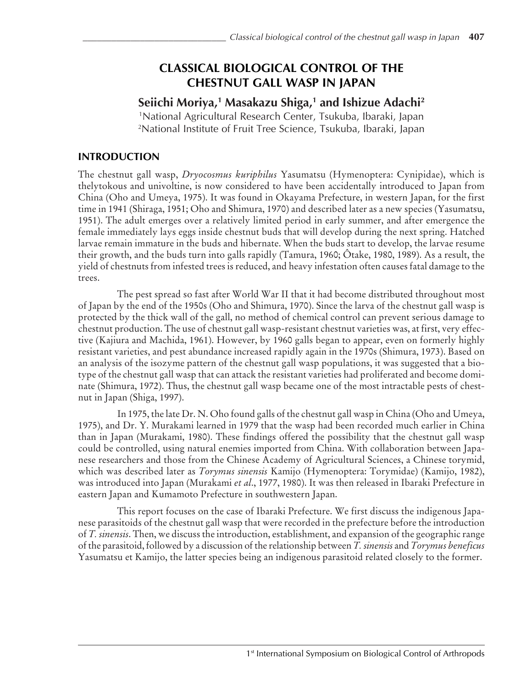# **CLASSICAL BIOLOGICAL CONTROL OF THE CHESTNUT GALL WASP IN JAPAN**

# **Seiichi Moriya,1 Masakazu Shiga,1 and Ishizue Adachi2**

1 National Agricultural Research Center, Tsukuba, Ibaraki, Japan 2 National Institute of Fruit Tree Science, Tsukuba, Ibaraki, Japan

## **INTRODUCTION**

The chestnut gall wasp, *Dryocosmus kuriphilus* Yasumatsu (Hymenoptera: Cynipidae), which is thelytokous and univoltine, is now considered to have been accidentally introduced to Japan from China (Oho and Umeya, 1975). It was found in Okayama Prefecture, in western Japan, for the first time in 1941 (Shiraga, 1951; Oho and Shimura, 1970) and described later as a new species (Yasumatsu, 1951). The adult emerges over a relatively limited period in early summer, and after emergence the female immediately lays eggs inside chestnut buds that will develop during the next spring. Hatched larvae remain immature in the buds and hibernate. When the buds start to develop, the larvae resume their growth, and the buds turn into galls rapidly (Tamura, 1960; Ôtake, 1980, 1989). As a result, the yield of chestnuts from infested trees is reduced, and heavy infestation often causes fatal damage to the trees.

The pest spread so fast after World War II that it had become distributed throughout most of Japan by the end of the 1950s (Oho and Shimura, 1970). Since the larva of the chestnut gall wasp is protected by the thick wall of the gall, no method of chemical control can prevent serious damage to chestnut production. The use of chestnut gall wasp-resistant chestnut varieties was, at first, very effective (Kajiura and Machida, 1961). However, by 1960 galls began to appear, even on formerly highly resistant varieties, and pest abundance increased rapidly again in the 1970s (Shimura, 1973). Based on an analysis of the isozyme pattern of the chestnut gall wasp populations, it was suggested that a biotype of the chestnut gall wasp that can attack the resistant varieties had proliferated and become dominate (Shimura, 1972). Thus, the chestnut gall wasp became one of the most intractable pests of chestnut in Japan (Shiga, 1997).

In 1975, the late Dr. N. Oho found galls of the chestnut gall wasp in China (Oho and Umeya, 1975), and Dr. Y. Murakami learned in 1979 that the wasp had been recorded much earlier in China than in Japan (Murakami, 1980). These findings offered the possibility that the chestnut gall wasp could be controlled, using natural enemies imported from China. With collaboration between Japanese researchers and those from the Chinese Academy of Agricultural Sciences, a Chinese torymid, which was described later as *Torymus sinensis* Kamijo (Hymenoptera: Torymidae) (Kamijo, 1982), was introduced into Japan (Murakami *et al*., 1977, 1980). It was then released in Ibaraki Prefecture in eastern Japan and Kumamoto Prefecture in southwestern Japan.

This report focuses on the case of Ibaraki Prefecture. We first discuss the indigenous Japanese parasitoids of the chestnut gall wasp that were recorded in the prefecture before the introduction of *T. sinensis*. Then, we discuss the introduction, establishment, and expansion of the geographic range of the parasitoid, followed by a discussion of the relationship between *T. sinensis* and *Torymus beneficus* Yasumatsu et Kamijo, the latter species being an indigenous parasitoid related closely to the former.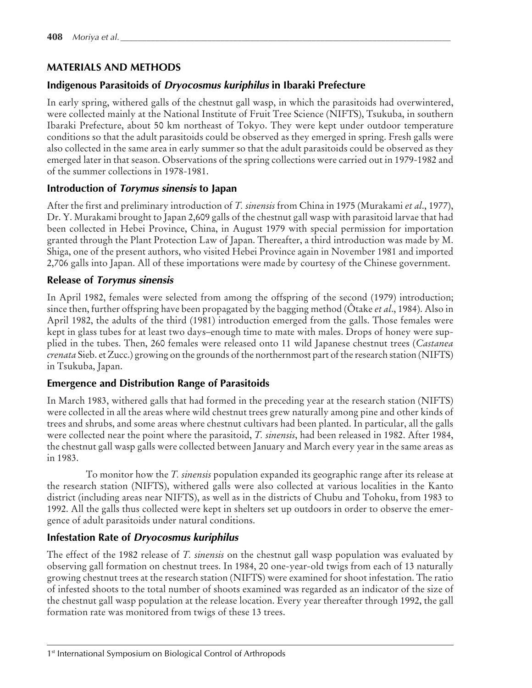## **MATERIALS AND METHODS**

## **Indigenous Parasitoids of Dryocosmus kuriphilus in Ibaraki Prefecture**

In early spring, withered galls of the chestnut gall wasp, in which the parasitoids had overwintered, were collected mainly at the National Institute of Fruit Tree Science (NIFTS), Tsukuba, in southern Ibaraki Prefecture, about 50 km northeast of Tokyo. They were kept under outdoor temperature conditions so that the adult parasitoids could be observed as they emerged in spring. Fresh galls were also collected in the same area in early summer so that the adult parasitoids could be observed as they emerged later in that season. Observations of the spring collections were carried out in 1979-1982 and of the summer collections in 1978-1981.

## **Introduction of Torymus sinensis to Japan**

After the first and preliminary introduction of *T. sinensis* from China in 1975 (Murakami *et al*., 1977), Dr. Y. Murakami brought to Japan 2,609 galls of the chestnut gall wasp with parasitoid larvae that had been collected in Hebei Province, China, in August 1979 with special permission for importation granted through the Plant Protection Law of Japan. Thereafter, a third introduction was made by M. Shiga, one of the present authors, who visited Hebei Province again in November 1981 and imported 2,706 galls into Japan. All of these importations were made by courtesy of the Chinese government.

## **Release of Torymus sinensis**

In April 1982, females were selected from among the offspring of the second (1979) introduction; since then, further offspring have been propagated by the bagging method (Ôtake *et al*., 1984). Also in April 1982, the adults of the third (1981) introduction emerged from the galls. Those females were kept in glass tubes for at least two days–enough time to mate with males. Drops of honey were supplied in the tubes. Then, 260 females were released onto 11 wild Japanese chestnut trees (*Castanea crenata* Sieb. et Zucc.) growing on the grounds of the northernmost part of the research station (NIFTS) in Tsukuba, Japan.

### **Emergence and Distribution Range of Parasitoids**

In March 1983, withered galls that had formed in the preceding year at the research station (NIFTS) were collected in all the areas where wild chestnut trees grew naturally among pine and other kinds of trees and shrubs, and some areas where chestnut cultivars had been planted. In particular, all the galls were collected near the point where the parasitoid, *T. sinensis*, had been released in 1982. After 1984, the chestnut gall wasp galls were collected between January and March every year in the same areas as in 1983.

To monitor how the *T. sinensis* population expanded its geographic range after its release at the research station (NIFTS), withered galls were also collected at various localities in the Kanto district (including areas near NIFTS), as well as in the districts of Chubu and Tohoku, from 1983 to 1992. All the galls thus collected were kept in shelters set up outdoors in order to observe the emergence of adult parasitoids under natural conditions.

## **Infestation Rate of Dryocosmus kuriphilus**

The effect of the 1982 release of *T. sinensis* on the chestnut gall wasp population was evaluated by observing gall formation on chestnut trees. In 1984, 20 one-year-old twigs from each of 13 naturally growing chestnut trees at the research station (NIFTS) were examined for shoot infestation. The ratio of infested shoots to the total number of shoots examined was regarded as an indicator of the size of the chestnut gall wasp population at the release location. Every year thereafter through 1992, the gall formation rate was monitored from twigs of these 13 trees.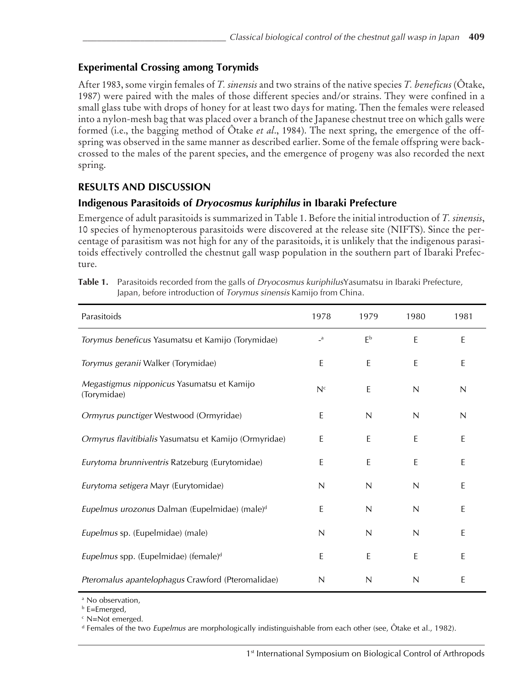## **Experimental Crossing among Torymids**

After 1983, some virgin females of *T. sinensis* and two strains of the native species *T. beneficus* (Ôtake, 1987) were paired with the males of those different species and/or strains. They were confined in a small glass tube with drops of honey for at least two days for mating. Then the females were released into a nylon-mesh bag that was placed over a branch of the Japanese chestnut tree on which galls were formed (i.e., the bagging method of Ôtake *et al*., 1984). The next spring, the emergence of the offspring was observed in the same manner as described earlier. Some of the female offspring were backcrossed to the males of the parent species, and the emergence of progeny was also recorded the next spring.

## **RESULTS AND DISCUSSION**

## **Indigenous Parasitoids of Dryocosmus kuriphilus in Ibaraki Prefecture**

Emergence of adult parasitoids is summarized in Table 1. Before the initial introduction of *T. sinensis*, 10 species of hymenopterous parasitoids were discovered at the release site (NIFTS). Since the percentage of parasitism was not high for any of the parasitoids, it is unlikely that the indigenous parasitoids effectively controlled the chestnut gall wasp population in the southern part of Ibaraki Prefecture.

| Parasitoids                                               | 1978                    | 1979           | 1980 | 1981         |
|-----------------------------------------------------------|-------------------------|----------------|------|--------------|
| Torymus beneficus Yasumatsu et Kamijo (Torymidae)         | $\mathsf{-}^\mathsf{a}$ | E <sub>p</sub> | E    | $\mathsf E$  |
| Torymus geranii Walker (Torymidae)                        | $\mathsf E$             | E              | E    | $\mathsf E$  |
| Megastigmus nipponicus Yasumatsu et Kamijo<br>(Torymidae) | N <sup>c</sup>          | E              | N    | N            |
| Ormyrus punctiger Westwood (Ormyridae)                    | $\sf E$                 | $\mathsf{N}$   | N    | $\mathsf{N}$ |
| Ormyrus flavitibialis Yasumatsu et Kamijo (Ormyridae)     | E                       | E              | E    | E            |
| Eurytoma brunniventris Ratzeburg (Eurytomidae)            | E                       | E              | E    | E            |
| Eurytoma setigera Mayr (Eurytomidae)                      | $\mathsf{N}$            | $\mathsf{N}$   | N    | E            |
| Eupelmus urozonus Dalman (Eupelmidae) (male) <sup>d</sup> | E                       | N              | N    | E            |
| Eupelmus sp. (Eupelmidae) (male)                          | N                       | N              | N    | E            |
| Eupelmus spp. (Eupelmidae) (female) <sup>d</sup>          | $\mathsf E$             | E              | E    | E            |
| Pteromalus apantelophagus Crawford (Pteromalidae)         | N                       | N              | N    | Ε            |

**Table 1.** Parasitoids recorded from the galls of Dryocosmus kuriphilusYasumatsu in Ibaraki Prefecture, Japan, before introduction of Torymus sinensis Kamijo from China.

a No observation,

b E=Emerged,

c N=Not emerged.

d Females of the two *Eupelmus* are morphologically indistinguishable from each other (see, Ôtake et al., 1982).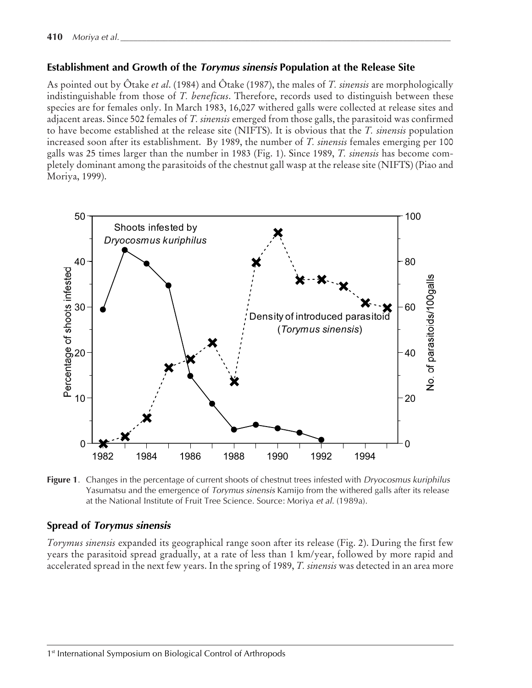#### **Establishment and Growth of the Torymus sinensis Population at the Release Site**

As pointed out by Ôtake *et al*. (1984) and Ôtake (1987), the males of *T. sinensis* are morphologically indistinguishable from those of *T. beneficus*. Therefore, records used to distinguish between these species are for females only. In March 1983, 16,027 withered galls were collected at release sites and adjacent areas. Since 502 females of *T. sinensis* emerged from those galls, the parasitoid was confirmed to have become established at the release site (NIFTS). It is obvious that the *T. sinensis* population increased soon after its establishment. By 1989, the number of *T. sinensis* females emerging per 100 galls was 25 times larger than the number in 1983 (Fig. 1). Since 1989, *T. sinensis* has become completely dominant among the parasitoids of the chestnut gall wasp at the release site (NIFTS) (Piao and Moriya, 1999).



**Figure 1.** Changes in the percentage of current shoots of chestnut trees infested with *Dryocosmus kuriphilus* Yasumatsu and the emergence of Torymus sinensis Kamijo from the withered galls after its release at the National Institute of Fruit Tree Science. Source: Moriya et al. (1989a).

### **Spread of Torymus sinensis**

*Torymus sinensis* expanded its geographical range soon after its release (Fig. 2). During the first few years the parasitoid spread gradually, at a rate of less than 1 km/year, followed by more rapid and accelerated spread in the next few years. In the spring of 1989, *T. sinensis* was detected in an area more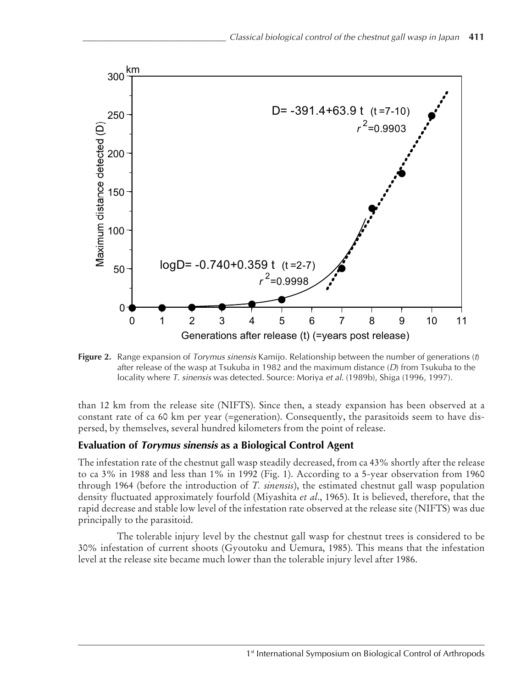

**Figure 2.** Range expansion of *Torymus sinensis* Kamijo. Relationship between the number of generations (t) after release of the wasp at Tsukuba in 1982 and the maximum distance  $(D)$  from Tsukuba to the locality where T. sinensis was detected. Source: Moriya et al. (1989b), Shiga (1996, 1997).

than 12 km from the release site (NIFTS). Since then, a steady expansion has been observed at a constant rate of ca 60 km per year (=generation). Consequently, the parasitoids seem to have dispersed, by themselves, several hundred kilometers from the point of release.

### **Evaluation of Torymus sinensis as a Biological Control Agent**

The infestation rate of the chestnut gall wasp steadily decreased, from ca 43% shortly after the release to ca 3% in 1988 and less than 1% in 1992 (Fig. 1). According to a 5-year observation from 1960 through 1964 (before the introduction of *T. sinensis*), the estimated chestnut gall wasp population density fluctuated approximately fourfold (Miyashita *et al*., 1965). It is believed, therefore, that the rapid decrease and stable low level of the infestation rate observed at the release site (NIFTS) was due principally to the parasitoid.

The tolerable injury level by the chestnut gall wasp for chestnut trees is considered to be 30% infestation of current shoots (Gyoutoku and Uemura, 1985). This means that the infestation level at the release site became much lower than the tolerable injury level after 1986.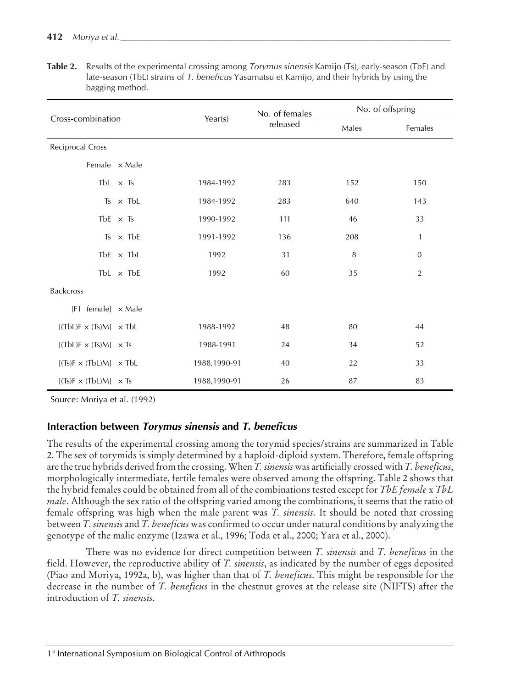| Cross-combination                                                     | Year(s)          | No. of females<br>released | No. of offspring |         |                  |
|-----------------------------------------------------------------------|------------------|----------------------------|------------------|---------|------------------|
|                                                                       |                  |                            | Males            | Females |                  |
| Reciprocal Cross                                                      |                  |                            |                  |         |                  |
| Female x Male                                                         |                  |                            |                  |         |                  |
|                                                                       | TbL $\times$ Ts  | 1984-1992                  | 283              | 152     | 150              |
|                                                                       | $Ts \times TbL$  | 1984-1992                  | 283              | 640     | 143              |
|                                                                       | TbE $\times$ Ts  | 1990-1992                  | 111              | 46      | 33               |
|                                                                       | Ts $\times$ TbE  | 1991-1992                  | 136              | 208     | $\mathbf{1}$     |
|                                                                       | TbE $\times$ TbL | 1992                       | 31               | $\, 8$  | $\boldsymbol{0}$ |
|                                                                       | TbL $\times$ TbE | 1992                       | 60               | 35      | $\overline{2}$   |
| <b>Backcross</b>                                                      |                  |                            |                  |         |                  |
| $[F1 \text{ female}] \times \text{Male}$                              |                  |                            |                  |         |                  |
| $[(\text{TbL})\text{F} \times (\text{Ts})\text{M}] \times \text{TbL}$ |                  | 1988-1992                  | 48               | 80      | 44               |
| $[(\text{TbL})\text{F} \times (\text{Ts})\text{M}] \times \text{Ts}$  |                  | 1988-1991                  | 24               | 34      | 52               |
| $[(Ts)F \times (TbL)M] \times TbL$                                    |                  | 1988,1990-91               | 40               | 22      | 33               |
| $[(Ts)F \times (TbL)M] \times Ts$                                     |                  | 1988,1990-91               | 26               | 87      | 83               |

**Table 2.** Results of the experimental crossing among Torymus sinensis Kamijo (Ts), early-season (TbE) and late-season (TbL) strains of T. beneficus Yasumatsu et Kamijo, and their hybrids by using the bagging method.

Source: Moriya et al. (1992)

## **Interaction between Torymus sinensis and T. beneficus**

The results of the experimental crossing among the torymid species/strains are summarized in Table 2. The sex of torymids is simply determined by a haploid-diploid system. Therefore, female offspring are the true hybrids derived from the crossing. When *T. sinensis* was artificially crossed with *T. beneficus*, morphologically intermediate, fertile females were observed among the offspring. Table 2 shows that the hybrid females could be obtained from all of the combinations tested except for *TbE female* x *TbL male*. Although the sex ratio of the offspring varied among the combinations, it seems that the ratio of female offspring was high when the male parent was *T. sinensis*. It should be noted that crossing between *T. sinensis* and *T. beneficus* was confirmed to occur under natural conditions by analyzing the genotype of the malic enzyme (Izawa et al., 1996; Toda et al., 2000; Yara et al., 2000).

There was no evidence for direct competition between *T. sinensis* and *T. beneficus* in the field. However, the reproductive ability of *T. sinensis*, as indicated by the number of eggs deposited (Piao and Moriya, 1992a, b), was higher than that of *T. beneficus*. This might be responsible for the decrease in the number of *T. beneficus* in the chestnut groves at the release site (NIFTS) after the introduction of *T. sinensis*.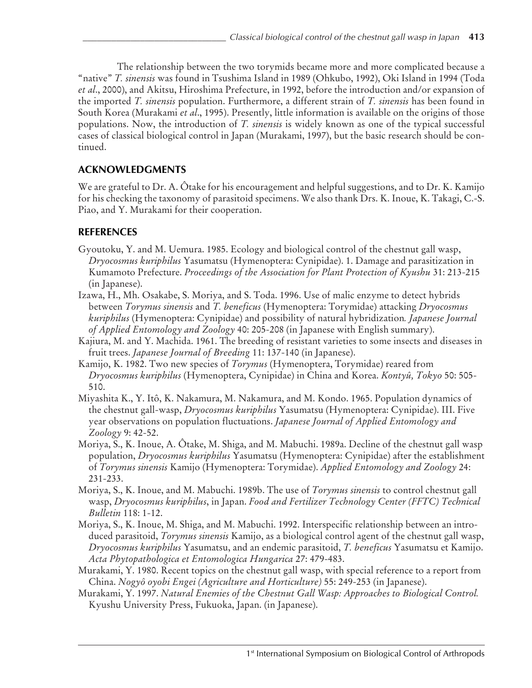The relationship between the two torymids became more and more complicated because a "native" *T. sinensis* was found in Tsushima Island in 1989 (Ohkubo, 1992), Oki Island in 1994 (Toda *et al*., 2000), and Akitsu, Hiroshima Prefecture, in 1992, before the introduction and/or expansion of the imported *T. sinensis* population. Furthermore, a different strain of *T. sinensis* has been found in South Korea (Murakami *et al*., 1995). Presently, little information is available on the origins of those populations. Now, the introduction of *T. sinensis* is widely known as one of the typical successful cases of classical biological control in Japan (Murakami, 1997), but the basic research should be continued.

# **ACKNOWLEDGMENTS**

We are grateful to Dr. A. Ôtake for his encouragement and helpful suggestions, and to Dr. K. Kamijo for his checking the taxonomy of parasitoid specimens. We also thank Drs. K. Inoue, K. Takagi, C.-S. Piao, and Y. Murakami for their cooperation.

# **REFERENCES**

- Gyoutoku, Y. and M. Uemura. 1985. Ecology and biological control of the chestnut gall wasp, *Dryocosmus kuriphilus* Yasumatsu (Hymenoptera: Cynipidae). 1. Damage and parasitization in Kumamoto Prefecture. *Proceedings of the Association for Plant Protection of Kyushu* 31: 213-215 (in Japanese).
- Izawa, H., Mh. Osakabe, S. Moriya, and S. Toda. 1996. Use of malic enzyme to detect hybrids between *Torymus sinensis* and *T. beneficus* (Hymenoptera: Torymidae) attacking *Dryocosmus kuriphilus* (Hymenoptera: Cynipidae) and possibility of natural hybridization*. Japanese Journal of Applied Entomology and Zoology* 40: 205-208 (in Japanese with English summary).
- Kajiura, M. and Y. Machida. 1961. The breeding of resistant varieties to some insects and diseases in fruit trees. *Japanese Journal of Breeding* 11: 137-140 (in Japanese).
- Kamijo, K. 1982. Two new species of *Torymus* (Hymenoptera, Torymidae) reared from *Dryocosmus kuriphilus* (Hymenoptera, Cynipidae) in China and Korea. *Kontyû, Tokyo* 50: 505- 510.
- Miyashita K., Y. Itô, K. Nakamura, M. Nakamura, and M. Kondo. 1965. Population dynamics of the chestnut gall-wasp, *Dryocosmus kuriphilus* Yasumatsu (Hymenoptera: Cynipidae). III. Five year observations on population fluctuations. *Japanese Journal of Applied Entomology and Zoology* 9: 42-52.
- Moriya, S., K. Inoue, A. Ôtake, M. Shiga, and M. Mabuchi. 1989a. Decline of the chestnut gall wasp population, *Dryocosmus kuriphilus* Yasumatsu (Hymenoptera: Cynipidae) after the establishment of *Torymus sinensis* Kamijo (Hymenoptera: Torymidae). *Applied Entomology and Zoology* 24: 231-233.
- Moriya, S., K. Inoue, and M. Mabuchi. 1989b. The use of *Torymus sinensis* to control chestnut gall wasp, *Dryocosmus kuriphilus*, in Japan. *Food and Fertilizer Technology Center (FFTC) Technical Bulletin* 118: 1-12.
- Moriya, S., K. Inoue, M. Shiga, and M. Mabuchi. 1992. Interspecific relationship between an introduced parasitoid, *Torymus sinensis* Kamijo, as a biological control agent of the chestnut gall wasp, *Dryocosmus kuriphilus* Yasumatsu, and an endemic parasitoid, *T. beneficus* Yasumatsu et Kamijo. *Acta Phytopathologica et Entomologica Hungarica* 27: 479-483.
- Murakami, Y. 1980. Recent topics on the chestnut gall wasp, with special reference to a report from China. *Nogyô oyobi Engei (Agriculture and Horticulture)* 55: 249-253 (in Japanese).
- Murakami, Y. 1997. *Natural Enemies of the Chestnut Gall Wasp: Approaches to Biological Control.* Kyushu University Press, Fukuoka, Japan. (in Japanese).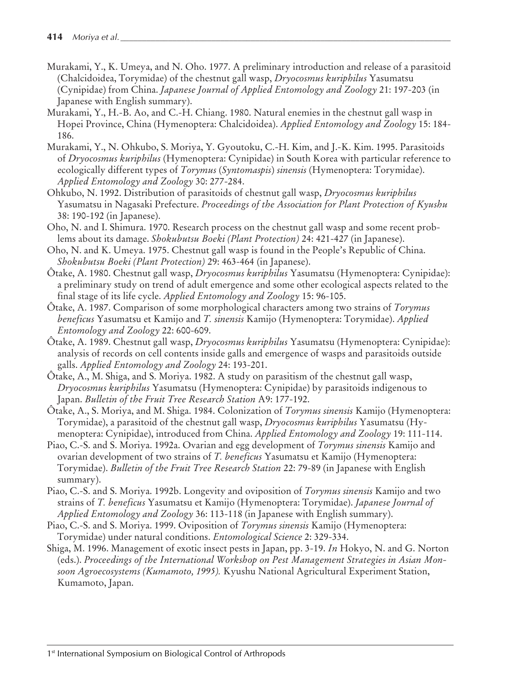- Murakami, Y., K. Umeya, and N. Oho. 1977. A preliminary introduction and release of a parasitoid (Chalcidoidea, Torymidae) of the chestnut gall wasp, *Dryocosmus kuriphilus* Yasumatsu (Cynipidae) from China. *Japanese Journal of Applied Entomology and Zoology* 21: 197-203 (in Japanese with English summary).
- Murakami, Y., H.-B. Ao, and C.-H. Chiang. 1980. Natural enemies in the chestnut gall wasp in Hopei Province, China (Hymenoptera: Chalcidoidea). *Applied Entomology and Zoology* 15: 184- 186.
- Murakami, Y., N. Ohkubo, S. Moriya, Y. Gyoutoku, C.-H. Kim, and J.-K. Kim. 1995. Parasitoids of *Dryocosmus kuriphilus* (Hymenoptera: Cynipidae) in South Korea with particular reference to ecologically different types of *Torymus* (*Syntomaspis*) *sinensis* (Hymenoptera: Torymidae). *Applied Entomology and Zoology* 30: 277-284.
- Ohkubo, N. 1992. Distribution of parasitoids of chestnut gall wasp, *Dryocosmus kuriphilus* Yasumatsu in Nagasaki Prefecture. *Proceedings of the Association for Plant Protection of Kyushu* 38: 190-192 (in Japanese).
- Oho, N. and I. Shimura. 1970. Research process on the chestnut gall wasp and some recent problems about its damage. *Shokubutsu Boeki (Plant Protection)* 24: 421-427 (in Japanese).
- Oho, N. and K. Umeya. 1975. Chestnut gall wasp is found in the People's Republic of China. *Shokubutsu Boeki (Plant Protection)* 29: 463-464 (in Japanese).
- Ôtake, A. 1980. Chestnut gall wasp, *Dryocosmus kuriphilus* Yasumatsu (Hymenoptera: Cynipidae): a preliminary study on trend of adult emergence and some other ecological aspects related to the final stage of its life cycle. *Applied Entomology and Zoology* 15: 96-105.
- Ôtake, A. 1987. Comparison of some morphological characters among two strains of *Torymus beneficus* Yasumatsu et Kamijo and *T. sinensis* Kamijo (Hymenoptera: Torymidae). *Applied Entomology and Zoology* 22: 600-609.
- Ôtake, A. 1989. Chestnut gall wasp, *Dryocosmus kuriphilus* Yasumatsu (Hymenoptera: Cynipidae): analysis of records on cell contents inside galls and emergence of wasps and parasitoids outside galls. *Applied Entomology and Zoology* 24: 193-201.
- Ôtake, A., M. Shiga, and S. Moriya. 1982. A study on parasitism of the chestnut gall wasp, *Dryocosmus kuriphilus* Yasumatsu (Hymenoptera: Cynipidae) by parasitoids indigenous to Japan. *Bulletin of the Fruit Tree Research Station* A9: 177-192.
- Ôtake, A., S. Moriya, and M. Shiga. 1984. Colonization of *Torymus sinensis* Kamijo (Hymenoptera: Torymidae), a parasitoid of the chestnut gall wasp, *Dryocosmus kuriphilus* Yasumatsu (Hymenoptera: Cynipidae), introduced from China. *Applied Entomology and Zoology* 19: 111-114.
- Piao, C.-S. and S. Moriya. 1992a. Ovarian and egg development of *Torymus sinensis* Kamijo and ovarian development of two strains of *T. beneficus* Yasumatsu et Kamijo (Hymenoptera: Torymidae). *Bulletin of the Fruit Tree Research Station* 22: 79-89 (in Japanese with English summary).
- Piao, C.-S. and S. Moriya. 1992b. Longevity and oviposition of *Torymus sinensis* Kamijo and two strains of *T. beneficus* Yasumatsu et Kamijo (Hymenoptera: Torymidae). *Japanese Journal of Applied Entomology and Zoology* 36: 113-118 (in Japanese with English summary).
- Piao, C.-S. and S. Moriya. 1999. Oviposition of *Torymus sinensis* Kamijo (Hymenoptera: Torymidae) under natural conditions. *Entomological Science* 2: 329-334.
- Shiga, M. 1996. Management of exotic insect pests in Japan, pp. 3-19. *In* Hokyo, N. and G. Norton (eds.). *Proceedings of the International Workshop on Pest Management Strategies in Asian Monsoon Agroecosystems (Kumamoto, 1995).* Kyushu National Agricultural Experiment Station, Kumamoto, Japan.